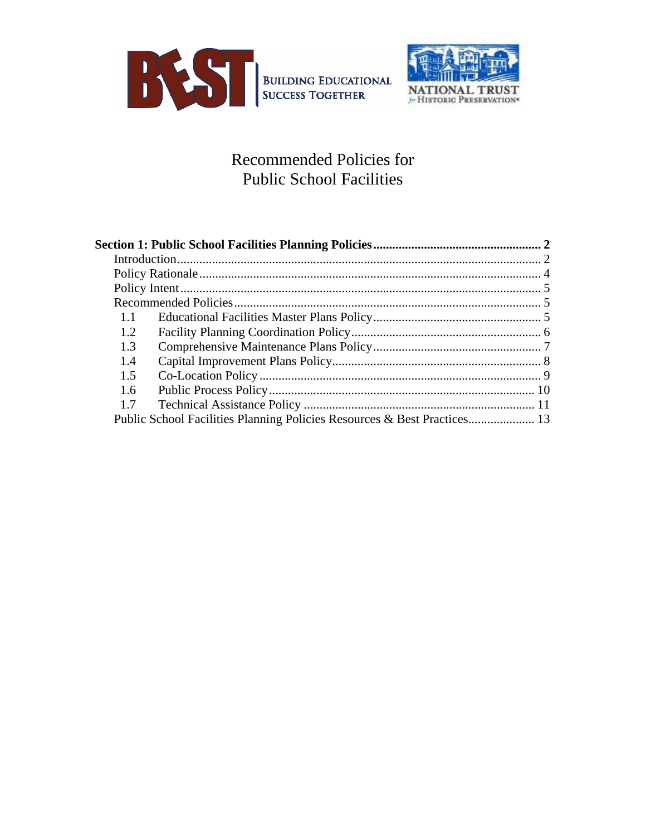



## Recommended Policies for Public School Facilities

| 1.1                                                                      |  |
|--------------------------------------------------------------------------|--|
| 1.2                                                                      |  |
| 1.3                                                                      |  |
| 1.4                                                                      |  |
| 1.5                                                                      |  |
| 1.6                                                                      |  |
| 1.7                                                                      |  |
| Public School Facilities Planning Policies Resources & Best Practices 13 |  |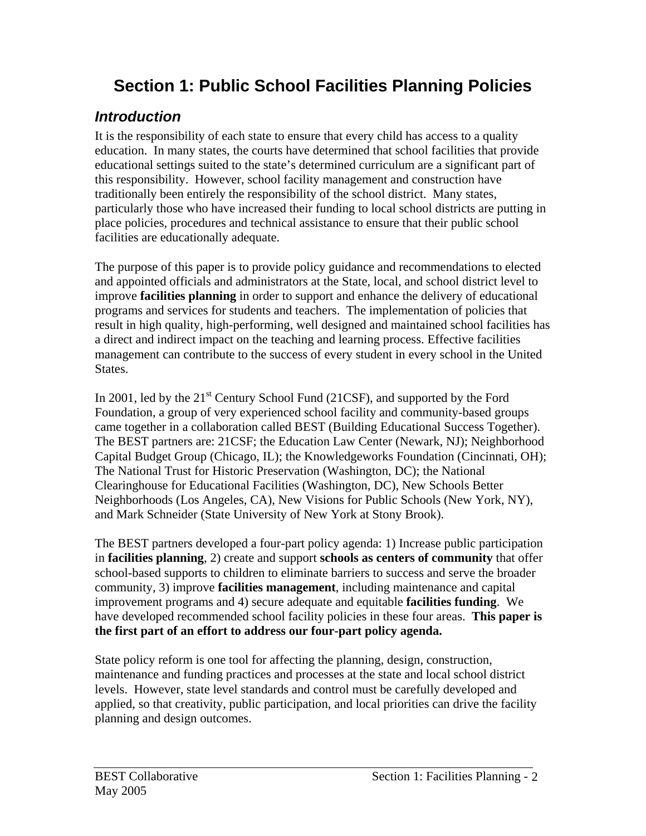# **Section 1: Public School Facilities Planning Policies**

## *Introduction*

It is the responsibility of each state to ensure that every child has access to a quality education. In many states, the courts have determined that school facilities that provide educational settings suited to the state's determined curriculum are a significant part of this responsibility. However, school facility management and construction have traditionally been entirely the responsibility of the school district. Many states, particularly those who have increased their funding to local school districts are putting in place policies, procedures and technical assistance to ensure that their public school facilities are educationally adequate.

The purpose of this paper is to provide policy guidance and recommendations to elected and appointed officials and administrators at the State, local, and school district level to improve **facilities planning** in order to support and enhance the delivery of educational programs and services for students and teachers. The implementation of policies that result in high quality, high-performing, well designed and maintained school facilities has a direct and indirect impact on the teaching and learning process. Effective facilities management can contribute to the success of every student in every school in the United States.

In 2001, led by the  $21<sup>st</sup>$  Century School Fund (21CSF), and supported by the Ford Foundation, a group of very experienced school facility and community-based groups came together in a collaboration called BEST (Building Educational Success Together). The BEST partners are: 21CSF; the Education Law Center (Newark, NJ); Neighborhood Capital Budget Group (Chicago, IL); the Knowledgeworks Foundation (Cincinnati, OH); The National Trust for Historic Preservation (Washington, DC); the National Clearinghouse for Educational Facilities (Washington, DC), New Schools Better Neighborhoods (Los Angeles, CA), New Visions for Public Schools (New York, NY), and Mark Schneider (State University of New York at Stony Brook).

The BEST partners developed a four-part policy agenda: 1) Increase public participation in **facilities planning**, 2) create and support **schools as centers of community** that offer school-based supports to children to eliminate barriers to success and serve the broader community, 3) improve **facilities management**, including maintenance and capital improvement programs and 4) secure adequate and equitable **facilities funding**. We have developed recommended school facility policies in these four areas. **This paper is the first part of an effort to address our four-part policy agenda.** 

State policy reform is one tool for affecting the planning, design, construction, maintenance and funding practices and processes at the state and local school district levels. However, state level standards and control must be carefully developed and applied, so that creativity, public participation, and local priorities can drive the facility planning and design outcomes.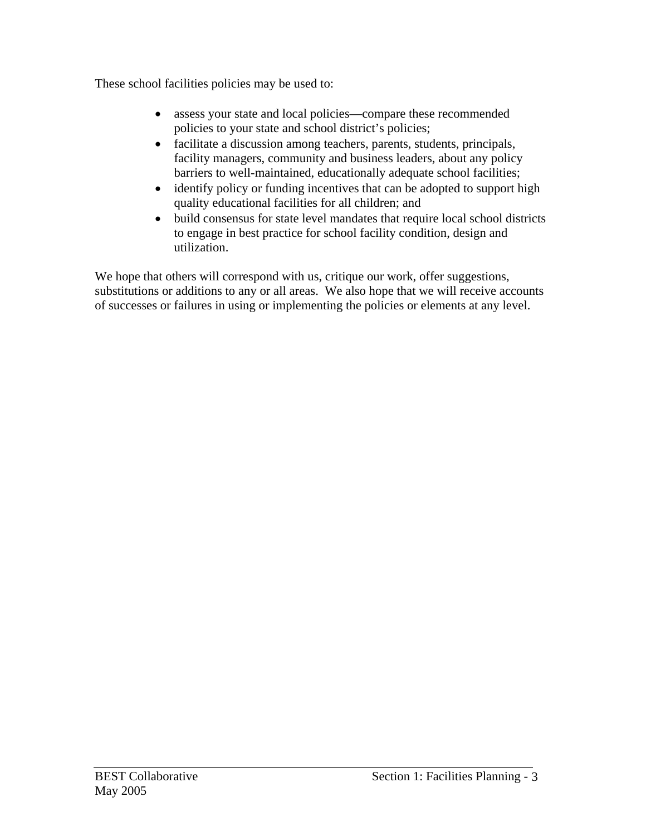These school facilities policies may be used to:

- assess your state and local policies—compare these recommended policies to your state and school district's policies;
- facilitate a discussion among teachers, parents, students, principals, facility managers, community and business leaders, about any policy barriers to well-maintained, educationally adequate school facilities;
- identify policy or funding incentives that can be adopted to support high quality educational facilities for all children; and
- build consensus for state level mandates that require local school districts to engage in best practice for school facility condition, design and utilization.

We hope that others will correspond with us, critique our work, offer suggestions, substitutions or additions to any or all areas. We also hope that we will receive accounts of successes or failures in using or implementing the policies or elements at any level.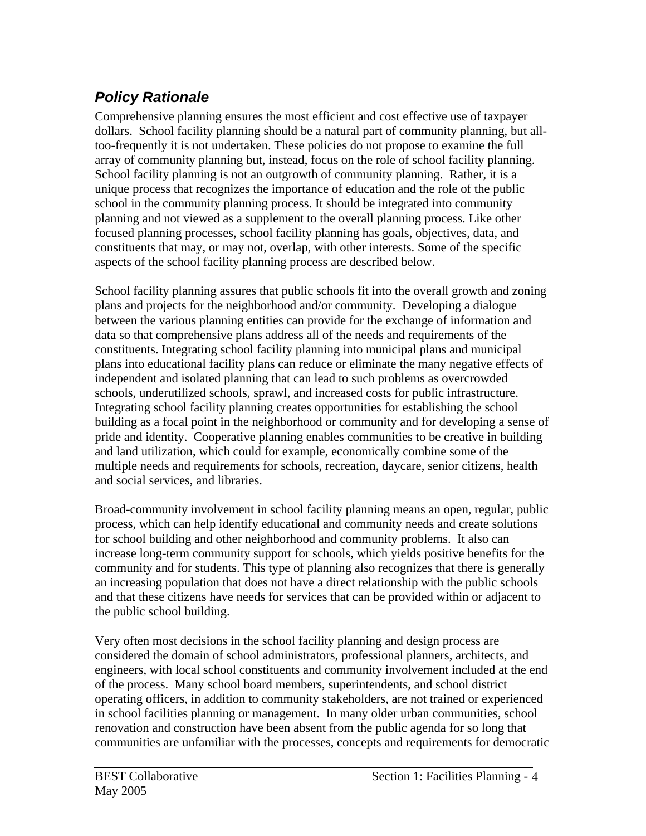# *Policy Rationale*

Comprehensive planning ensures the most efficient and cost effective use of taxpayer dollars. School facility planning should be a natural part of community planning, but alltoo-frequently it is not undertaken. These policies do not propose to examine the full array of community planning but, instead, focus on the role of school facility planning. School facility planning is not an outgrowth of community planning. Rather, it is a unique process that recognizes the importance of education and the role of the public school in the community planning process. It should be integrated into community planning and not viewed as a supplement to the overall planning process. Like other focused planning processes, school facility planning has goals, objectives, data, and constituents that may, or may not, overlap, with other interests. Some of the specific aspects of the school facility planning process are described below.

School facility planning assures that public schools fit into the overall growth and zoning plans and projects for the neighborhood and/or community. Developing a dialogue between the various planning entities can provide for the exchange of information and data so that comprehensive plans address all of the needs and requirements of the constituents. Integrating school facility planning into municipal plans and municipal plans into educational facility plans can reduce or eliminate the many negative effects of independent and isolated planning that can lead to such problems as overcrowded schools, underutilized schools, sprawl, and increased costs for public infrastructure. Integrating school facility planning creates opportunities for establishing the school building as a focal point in the neighborhood or community and for developing a sense of pride and identity. Cooperative planning enables communities to be creative in building and land utilization, which could for example, economically combine some of the multiple needs and requirements for schools, recreation, daycare, senior citizens, health and social services, and libraries.

Broad-community involvement in school facility planning means an open, regular, public process, which can help identify educational and community needs and create solutions for school building and other neighborhood and community problems. It also can increase long-term community support for schools, which yields positive benefits for the community and for students. This type of planning also recognizes that there is generally an increasing population that does not have a direct relationship with the public schools and that these citizens have needs for services that can be provided within or adjacent to the public school building.

Very often most decisions in the school facility planning and design process are considered the domain of school administrators, professional planners, architects, and engineers, with local school constituents and community involvement included at the end of the process. Many school board members, superintendents, and school district operating officers, in addition to community stakeholders, are not trained or experienced in school facilities planning or management. In many older urban communities, school renovation and construction have been absent from the public agenda for so long that communities are unfamiliar with the processes, concepts and requirements for democratic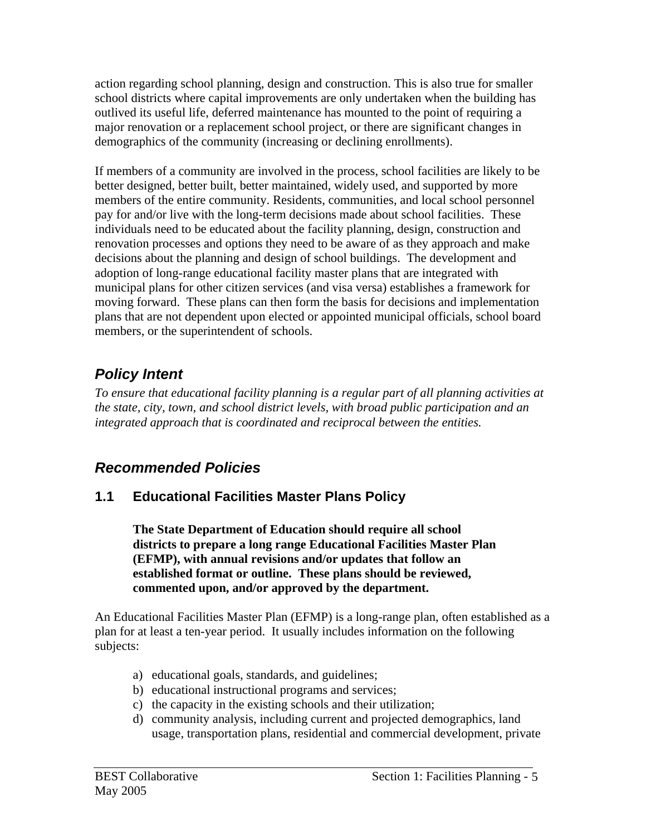action regarding school planning, design and construction. This is also true for smaller school districts where capital improvements are only undertaken when the building has outlived its useful life, deferred maintenance has mounted to the point of requiring a major renovation or a replacement school project, or there are significant changes in demographics of the community (increasing or declining enrollments).

If members of a community are involved in the process, school facilities are likely to be better designed, better built, better maintained, widely used, and supported by more members of the entire community. Residents, communities, and local school personnel pay for and/or live with the long-term decisions made about school facilities. These individuals need to be educated about the facility planning, design, construction and renovation processes and options they need to be aware of as they approach and make decisions about the planning and design of school buildings. The development and adoption of long-range educational facility master plans that are integrated with municipal plans for other citizen services (and visa versa) establishes a framework for moving forward. These plans can then form the basis for decisions and implementation plans that are not dependent upon elected or appointed municipal officials, school board members, or the superintendent of schools.

# *Policy Intent*

*To ensure that educational facility planning is a regular part of all planning activities at the state, city, town, and school district levels, with broad public participation and an integrated approach that is coordinated and reciprocal between the entities.* 

## *Recommended Policies*

### **1.1 Educational Facilities Master Plans Policy**

**The State Department of Education should require all school districts to prepare a long range Educational Facilities Master Plan (EFMP), with annual revisions and/or updates that follow an established format or outline. These plans should be reviewed, commented upon, and/or approved by the department.** 

An Educational Facilities Master Plan (EFMP) is a long-range plan, often established as a plan for at least a ten-year period. It usually includes information on the following subjects:

- a) educational goals, standards, and guidelines;
- b) educational instructional programs and services;
- c) the capacity in the existing schools and their utilization;
- d) community analysis, including current and projected demographics, land usage, transportation plans, residential and commercial development, private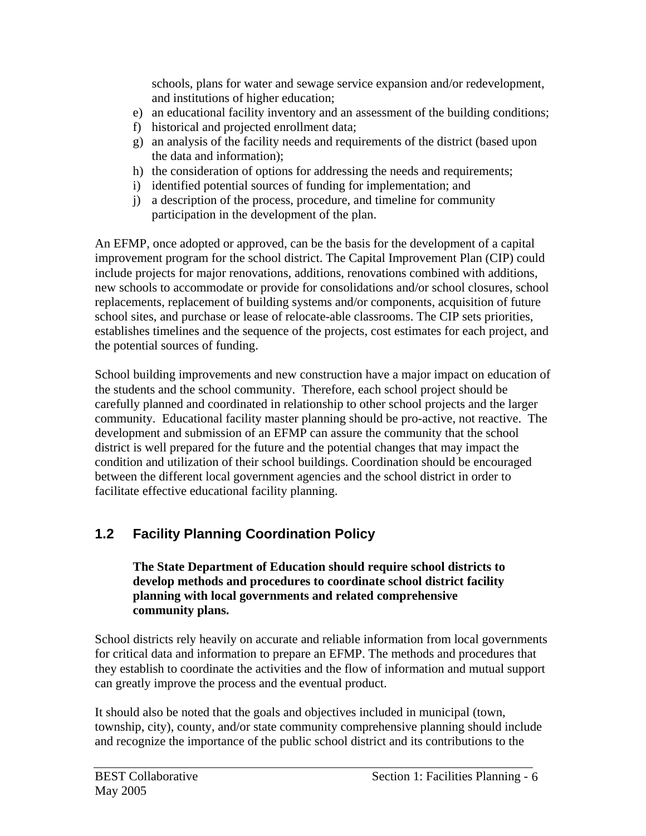schools, plans for water and sewage service expansion and/or redevelopment, and institutions of higher education;

- e) an educational facility inventory and an assessment of the building conditions;
- f) historical and projected enrollment data;
- g) an analysis of the facility needs and requirements of the district (based upon the data and information);
- h) the consideration of options for addressing the needs and requirements;
- i) identified potential sources of funding for implementation; and
- j) a description of the process, procedure, and timeline for community participation in the development of the plan.

An EFMP, once adopted or approved, can be the basis for the development of a capital improvement program for the school district. The Capital Improvement Plan (CIP) could include projects for major renovations, additions, renovations combined with additions, new schools to accommodate or provide for consolidations and/or school closures, school replacements, replacement of building systems and/or components, acquisition of future school sites, and purchase or lease of relocate-able classrooms. The CIP sets priorities, establishes timelines and the sequence of the projects, cost estimates for each project, and the potential sources of funding.

School building improvements and new construction have a major impact on education of the students and the school community. Therefore, each school project should be carefully planned and coordinated in relationship to other school projects and the larger community. Educational facility master planning should be pro-active, not reactive. The development and submission of an EFMP can assure the community that the school district is well prepared for the future and the potential changes that may impact the condition and utilization of their school buildings. Coordination should be encouraged between the different local government agencies and the school district in order to facilitate effective educational facility planning.

# **1.2 Facility Planning Coordination Policy**

#### **The State Department of Education should require school districts to develop methods and procedures to coordinate school district facility planning with local governments and related comprehensive community plans.**

School districts rely heavily on accurate and reliable information from local governments for critical data and information to prepare an EFMP. The methods and procedures that they establish to coordinate the activities and the flow of information and mutual support can greatly improve the process and the eventual product.

It should also be noted that the goals and objectives included in municipal (town, township, city), county, and/or state community comprehensive planning should include and recognize the importance of the public school district and its contributions to the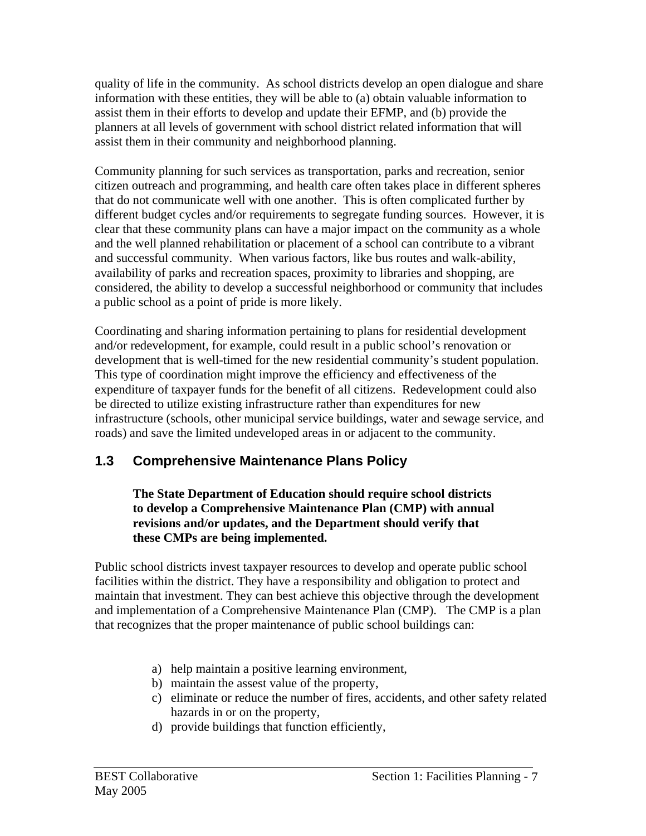quality of life in the community. As school districts develop an open dialogue and share information with these entities, they will be able to (a) obtain valuable information to assist them in their efforts to develop and update their EFMP, and (b) provide the planners at all levels of government with school district related information that will assist them in their community and neighborhood planning.

Community planning for such services as transportation, parks and recreation, senior citizen outreach and programming, and health care often takes place in different spheres that do not communicate well with one another. This is often complicated further by different budget cycles and/or requirements to segregate funding sources. However, it is clear that these community plans can have a major impact on the community as a whole and the well planned rehabilitation or placement of a school can contribute to a vibrant and successful community. When various factors, like bus routes and walk-ability, availability of parks and recreation spaces, proximity to libraries and shopping, are considered, the ability to develop a successful neighborhood or community that includes a public school as a point of pride is more likely.

Coordinating and sharing information pertaining to plans for residential development and/or redevelopment, for example, could result in a public school's renovation or development that is well-timed for the new residential community's student population. This type of coordination might improve the efficiency and effectiveness of the expenditure of taxpayer funds for the benefit of all citizens. Redevelopment could also be directed to utilize existing infrastructure rather than expenditures for new infrastructure (schools, other municipal service buildings, water and sewage service, and roads) and save the limited undeveloped areas in or adjacent to the community.

### **1.3 Comprehensive Maintenance Plans Policy**

#### **The State Department of Education should require school districts to develop a Comprehensive Maintenance Plan (CMP) with annual revisions and/or updates, and the Department should verify that these CMPs are being implemented.**

Public school districts invest taxpayer resources to develop and operate public school facilities within the district. They have a responsibility and obligation to protect and maintain that investment. They can best achieve this objective through the development and implementation of a Comprehensive Maintenance Plan (CMP). The CMP is a plan that recognizes that the proper maintenance of public school buildings can:

- a) help maintain a positive learning environment,
- b) maintain the assest value of the property,
- c) eliminate or reduce the number of fires, accidents, and other safety related hazards in or on the property,
- d) provide buildings that function efficiently,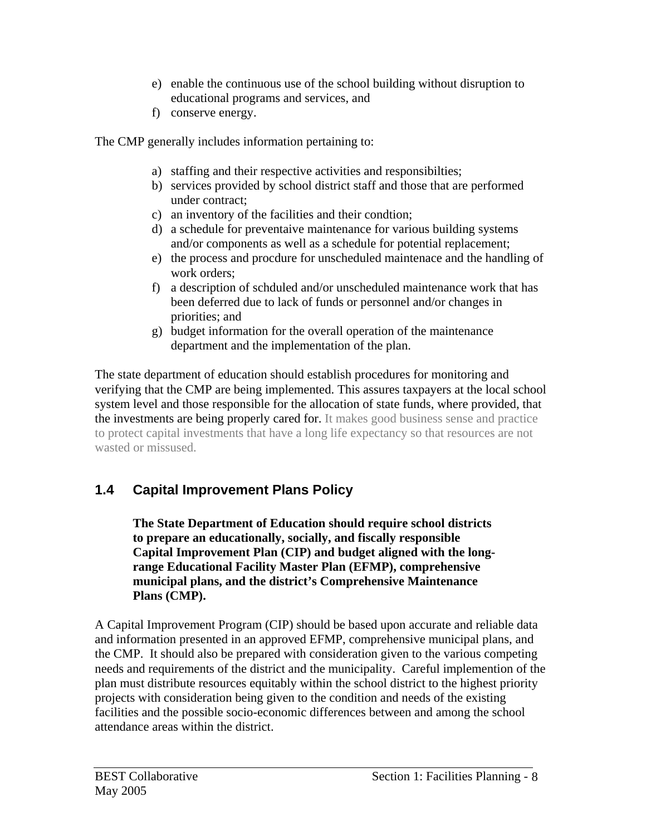- e) enable the continuous use of the school building without disruption to educational programs and services, and
- f) conserve energy.

The CMP generally includes information pertaining to:

- a) staffing and their respective activities and responsibilties;
- b) services provided by school district staff and those that are performed under contract;
- c) an inventory of the facilities and their condtion;
- d) a schedule for preventaive maintenance for various building systems and/or components as well as a schedule for potential replacement;
- e) the process and procdure for unscheduled maintenace and the handling of work orders;
- f) a description of schduled and/or unscheduled maintenance work that has been deferred due to lack of funds or personnel and/or changes in priorities; and
- g) budget information for the overall operation of the maintenance department and the implementation of the plan.

The state department of education should establish procedures for monitoring and verifying that the CMP are being implemented. This assures taxpayers at the local school system level and those responsible for the allocation of state funds, where provided, that the investments are being properly cared for. It makes good business sense and practice to protect capital investments that have a long life expectancy so that resources are not wasted or missused.

## **1.4 Capital Improvement Plans Policy**

**The State Department of Education should require school districts to prepare an educationally, socially, and fiscally responsible Capital Improvement Plan (CIP) and budget aligned with the longrange Educational Facility Master Plan (EFMP), comprehensive municipal plans, and the district's Comprehensive Maintenance Plans (CMP).** 

A Capital Improvement Program (CIP) should be based upon accurate and reliable data and information presented in an approved EFMP, comprehensive municipal plans, and the CMP. It should also be prepared with consideration given to the various competing needs and requirements of the district and the municipality. Careful implemention of the plan must distribute resources equitably within the school district to the highest priority projects with consideration being given to the condition and needs of the existing facilities and the possible socio-economic differences between and among the school attendance areas within the district.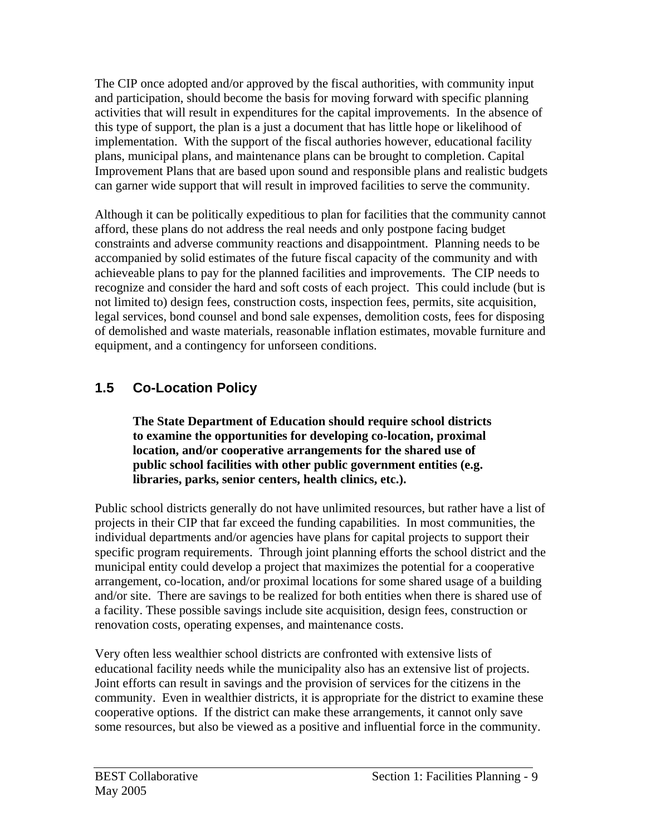The CIP once adopted and/or approved by the fiscal authorities, with community input and participation, should become the basis for moving forward with specific planning activities that will result in expenditures for the capital improvements. In the absence of this type of support, the plan is a just a document that has little hope or likelihood of implementation. With the support of the fiscal authories however, educational facility plans, municipal plans, and maintenance plans can be brought to completion. Capital Improvement Plans that are based upon sound and responsible plans and realistic budgets can garner wide support that will result in improved facilities to serve the community.

Although it can be politically expeditious to plan for facilities that the community cannot afford, these plans do not address the real needs and only postpone facing budget constraints and adverse community reactions and disappointment. Planning needs to be accompanied by solid estimates of the future fiscal capacity of the community and with achieveable plans to pay for the planned facilities and improvements. The CIP needs to recognize and consider the hard and soft costs of each project. This could include (but is not limited to) design fees, construction costs, inspection fees, permits, site acquisition, legal services, bond counsel and bond sale expenses, demolition costs, fees for disposing of demolished and waste materials, reasonable inflation estimates, movable furniture and equipment, and a contingency for unforseen conditions.

## **1.5 Co-Location Policy**

**The State Department of Education should require school districts to examine the opportunities for developing co-location, proximal location, and/or cooperative arrangements for the shared use of public school facilities with other public government entities (e.g. libraries, parks, senior centers, health clinics, etc.).**

Public school districts generally do not have unlimited resources, but rather have a list of projects in their CIP that far exceed the funding capabilities. In most communities, the individual departments and/or agencies have plans for capital projects to support their specific program requirements. Through joint planning efforts the school district and the municipal entity could develop a project that maximizes the potential for a cooperative arrangement, co-location, and/or proximal locations for some shared usage of a building and/or site. There are savings to be realized for both entities when there is shared use of a facility. These possible savings include site acquisition, design fees, construction or renovation costs, operating expenses, and maintenance costs.

Very often less wealthier school districts are confronted with extensive lists of educational facility needs while the municipality also has an extensive list of projects. Joint efforts can result in savings and the provision of services for the citizens in the community. Even in wealthier districts, it is appropriate for the district to examine these cooperative options. If the district can make these arrangements, it cannot only save some resources, but also be viewed as a positive and influential force in the community.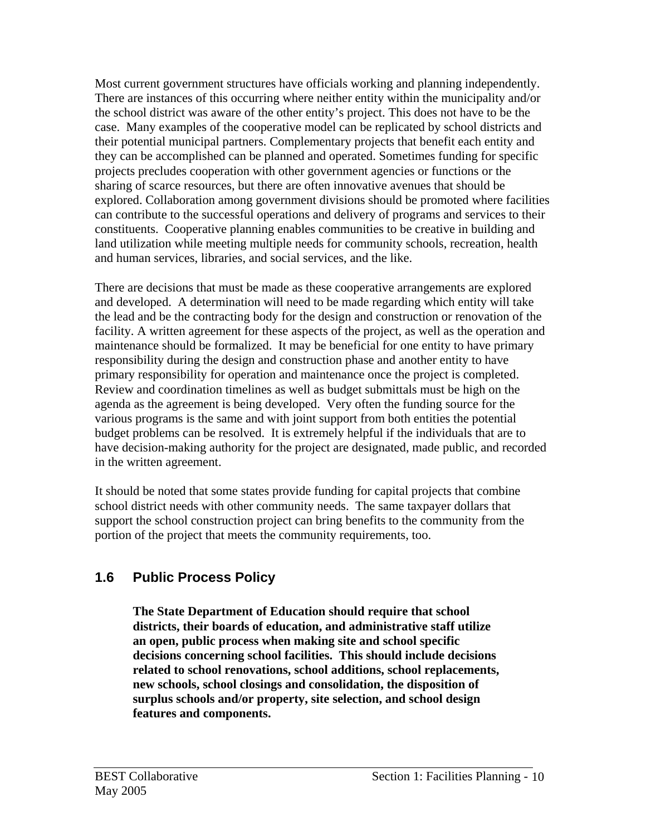Most current government structures have officials working and planning independently. There are instances of this occurring where neither entity within the municipality and/or the school district was aware of the other entity's project. This does not have to be the case. Many examples of the cooperative model can be replicated by school districts and their potential municipal partners. Complementary projects that benefit each entity and they can be accomplished can be planned and operated. Sometimes funding for specific projects precludes cooperation with other government agencies or functions or the sharing of scarce resources, but there are often innovative avenues that should be explored. Collaboration among government divisions should be promoted where facilities can contribute to the successful operations and delivery of programs and services to their constituents. Cooperative planning enables communities to be creative in building and land utilization while meeting multiple needs for community schools, recreation, health and human services, libraries, and social services, and the like.

There are decisions that must be made as these cooperative arrangements are explored and developed. A determination will need to be made regarding which entity will take the lead and be the contracting body for the design and construction or renovation of the facility. A written agreement for these aspects of the project, as well as the operation and maintenance should be formalized. It may be beneficial for one entity to have primary responsibility during the design and construction phase and another entity to have primary responsibility for operation and maintenance once the project is completed. Review and coordination timelines as well as budget submittals must be high on the agenda as the agreement is being developed. Very often the funding source for the various programs is the same and with joint support from both entities the potential budget problems can be resolved. It is extremely helpful if the individuals that are to have decision-making authority for the project are designated, made public, and recorded in the written agreement.

It should be noted that some states provide funding for capital projects that combine school district needs with other community needs. The same taxpayer dollars that support the school construction project can bring benefits to the community from the portion of the project that meets the community requirements, too.

### **1.6 Public Process Policy**

**The State Department of Education should require that school districts, their boards of education, and administrative staff utilize an open, public process when making site and school specific decisions concerning school facilities. This should include decisions related to school renovations, school additions, school replacements, new schools, school closings and consolidation, the disposition of surplus schools and/or property, site selection, and school design features and components.**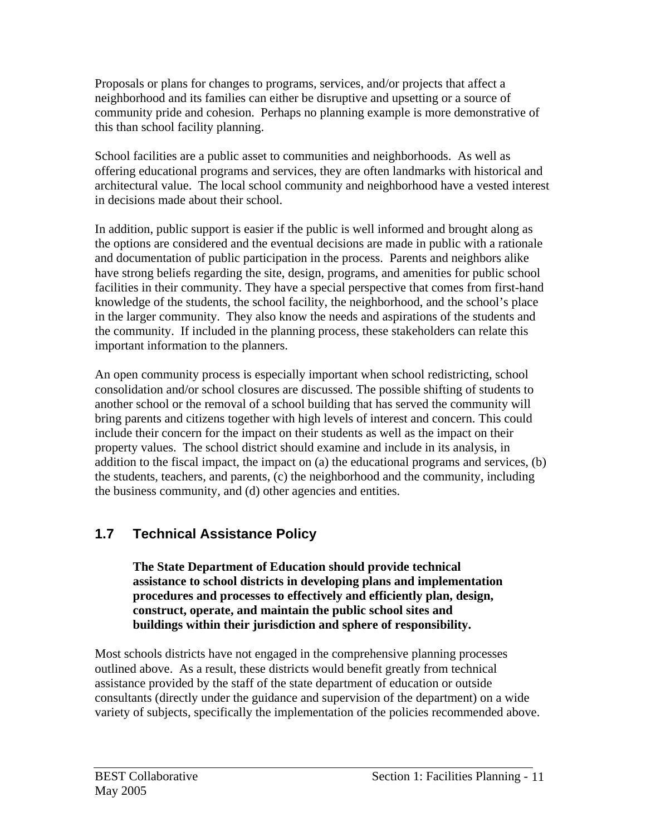Proposals or plans for changes to programs, services, and/or projects that affect a neighborhood and its families can either be disruptive and upsetting or a source of community pride and cohesion. Perhaps no planning example is more demonstrative of this than school facility planning.

School facilities are a public asset to communities and neighborhoods. As well as offering educational programs and services, they are often landmarks with historical and architectural value. The local school community and neighborhood have a vested interest in decisions made about their school.

In addition, public support is easier if the public is well informed and brought along as the options are considered and the eventual decisions are made in public with a rationale and documentation of public participation in the process. Parents and neighbors alike have strong beliefs regarding the site, design, programs, and amenities for public school facilities in their community. They have a special perspective that comes from first-hand knowledge of the students, the school facility, the neighborhood, and the school's place in the larger community. They also know the needs and aspirations of the students and the community. If included in the planning process, these stakeholders can relate this important information to the planners.

An open community process is especially important when school redistricting, school consolidation and/or school closures are discussed. The possible shifting of students to another school or the removal of a school building that has served the community will bring parents and citizens together with high levels of interest and concern. This could include their concern for the impact on their students as well as the impact on their property values. The school district should examine and include in its analysis, in addition to the fiscal impact, the impact on (a) the educational programs and services, (b) the students, teachers, and parents, (c) the neighborhood and the community, including the business community, and (d) other agencies and entities.

## **1.7 Technical Assistance Policy**

**The State Department of Education should provide technical assistance to school districts in developing plans and implementation procedures and processes to effectively and efficiently plan, design, construct, operate, and maintain the public school sites and buildings within their jurisdiction and sphere of responsibility.** 

Most schools districts have not engaged in the comprehensive planning processes outlined above. As a result, these districts would benefit greatly from technical assistance provided by the staff of the state department of education or outside consultants (directly under the guidance and supervision of the department) on a wide variety of subjects, specifically the implementation of the policies recommended above.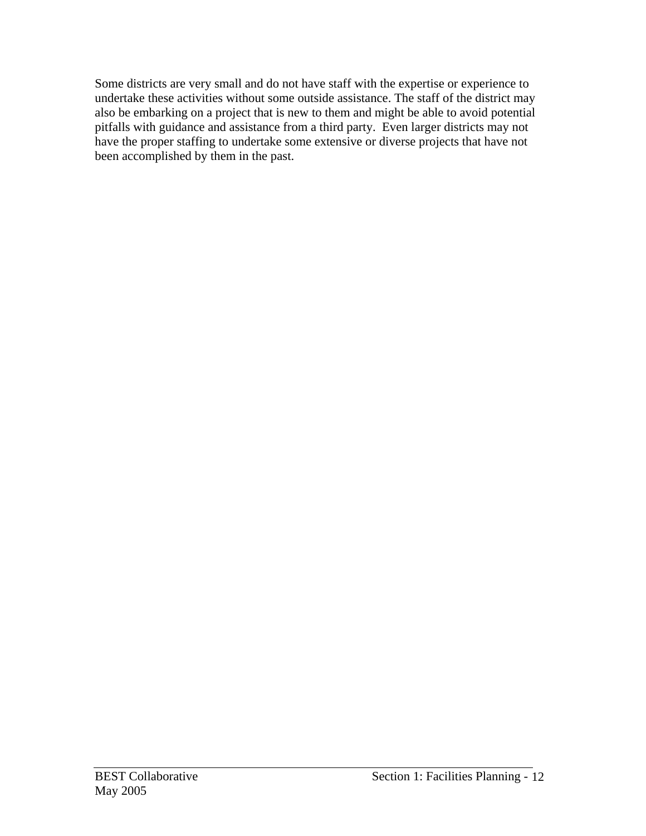Some districts are very small and do not have staff with the expertise or experience to undertake these activities without some outside assistance. The staff of the district may also be embarking on a project that is new to them and might be able to avoid potential pitfalls with guidance and assistance from a third party. Even larger districts may not have the proper staffing to undertake some extensive or diverse projects that have not been accomplished by them in the past.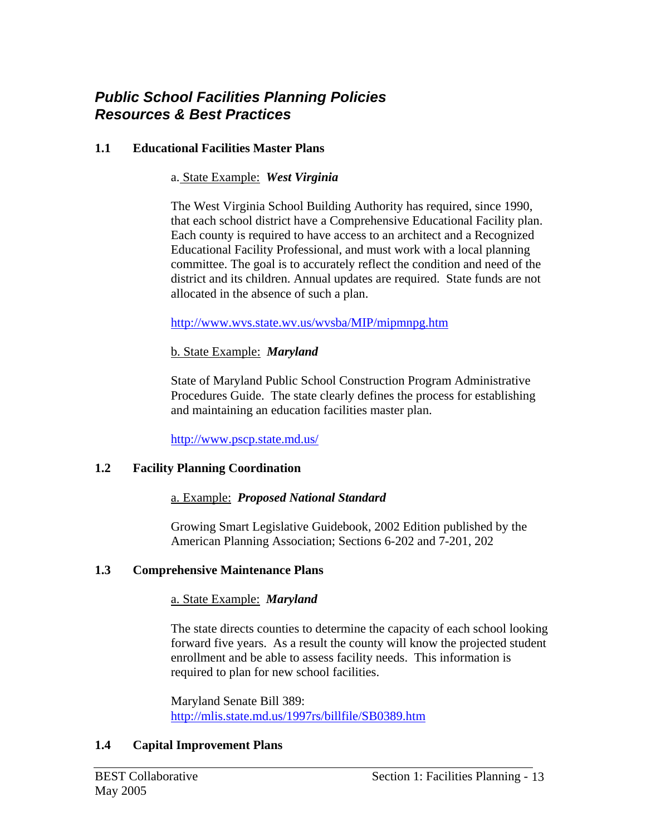### *Public School Facilities Planning Policies Resources & Best Practices*

#### **1.1 Educational Facilities Master Plans**

#### a. State Example: *West Virginia*

The West Virginia School Building Authority has required, since 1990, that each school district have a Comprehensive Educational Facility plan. Each county is required to have access to an architect and a Recognized Educational Facility Professional, and must work with a local planning committee. The goal is to accurately reflect the condition and need of the district and its children. Annual updates are required. State funds are not allocated in the absence of such a plan.

#### http://www.wvs.state.wv.us/wvsba/MIP/mipmnpg.htm

#### b. State Example: *Maryland*

State of Maryland Public School Construction Program Administrative Procedures Guide. The state clearly defines the process for establishing and maintaining an education facilities master plan.

http://www.pscp.state.md.us/

#### **1.2 Facility Planning Coordination**

#### a. Example: *Proposed National Standard*

Growing Smart Legislative Guidebook, 2002 Edition published by the American Planning Association; Sections 6-202 and 7-201, 202

#### **1.3 Comprehensive Maintenance Plans**

#### a. State Example: *Maryland*

The state directs counties to determine the capacity of each school looking forward five years. As a result the county will know the projected student enrollment and be able to assess facility needs. This information is required to plan for new school facilities.

Maryland Senate Bill 389: http://mlis.state.md.us/1997rs/billfile/SB0389.htm

#### **1.4 Capital Improvement Plans**